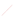Zuch trackfartango Conference on Liedme Education and Leadership for M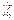# **Investigating The Attitudes And Opinions Of Pupils About Effective Leadership Characteristics And School Climate**

**Ayşegül KADI<sup>1</sup>**

*<sup>1</sup>Res. Asst., Hakkari University, Faculty of Education, Educational Sciences Department Email: [aysegulkadi.33@gmail.com](mailto:aysegulkadi.33@gmail.com)*

### **Abstract**

The purpose of this study is to examine the attitudes and opinions of pupils about effective leadership characteristics and school climate. The sample of the study is determined by convenience sampling method and quantitative part of the research was conducted with 363 pupils and qualitative part of the research was conducted with 34 pupils. Research design determined as mixed method. Semi-structured interviews and "Scale Of Effective Leadership Characteristics and School Climate Scale" were used to collect data. According to the findings: attitudes of pupils about effective leadership and school climate differ according to gender and class but they don't differ according to education level of mother and father. There is not a significant relationship between attitudes of pupils about effective leadership and school climate. Recade gories were found for opinions of pupils about effective leadership behaviors of their teachers in content analysit. Most repetitive category is being tolerant. The least repetitive categories were being excited, being friendly, being  $\alpha$   $\alpha$   $\alpha$  being sincere. 8 categories were found for opinions of pupils about elements that effective leadership characteristics  $\mathcal{F}^{\text{th}}$ eir teachers affect in content analysis. Most repetitive category is success. The least repetitive categories were gaining control in the classroom, process of course and participation in course. 9 categories were found for opinions of pupils about school climate in content analysis. Most repetitive category is school atmosphere. The least repetitive category was success. 8 categories were found for opinions of pupils about elements that affect school climate in content analysis. Most repetitive category is behaviors. The least repetitive categories were parents, family atmosphere and expressions of teachers. Pupils opinions differ according to gender, class, education level of mother and father.

**Keywords:** pupil, leadership, climate

#### **1.Introduction**

In twentieth century, leadership was an important  $\frac{1}{2}$  that theorists and practitioners endeavor to understand (İnandı & Özkan, 2006). Leadership, is still not willy understood concept, despite this interest and researches (Cemaloğlu, 2007). Leadership includes forethought, creating a vision and objectives for the future of the organization and motivating people to perform them (Şişman & Turan, 2002). Leadership means all behaviors that guiding the behavior of the group towards a common goal (Zel, 2006).

To increase success in school, leading teachers can be trained. Leadership is helping, making coaching and supporting. Because of these redefined leadership responsibilities, leading teachers are the protagonists to start and maintain conversion process to create quality schools (Balay, 2003).

Characteristics of teachers in the effective schools are as follows:

They constantly improve themselves. They constantly find new methods and techniques and apply them. They believe that  $\mathcal{A}$  students can learn and be successful. They are good role models for students. They have a sense of responsibility in the highest level. They explain the program and learning objectives to students. They are aware of the expectations and needs of students. They enable students to reach the objectives. They did the leadership and guidance of students' learning (Can, 2004). In this study, effective leadership characteristics like; being reliable, democratic, excited, tolerant, positive and model, have good communication skills and a vision.

School climate is an organizational feature that teachers, students, school administrators and parents influence and also they are influenced. School climate is a whole interior features that distinguish it from other schools. School climate also affects the climate of classroom. (Çelik, 2002).

Tableman (2004) defines school climate as emotions that students, teachers and others have in school each day and it is an environment affects their lives. Hoy (2003) says climate, is associated with other factors that influence the behavior of people at school. These factors are listed as follows: The physical properties of the school, demographic and cultural background of the people at school, the nature of human relations and shared norms, values or beliefs.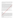The organizational climate of the school is categorized as open and close climate (Hoy & Miskel, 1987; Hoy & et al, 1991). There are low level of avoid and high level of confidence and working in an open organizational climate. There are high level of avoid and low level of confidence nad working in an close organizational climate. In such a school, teachers' morale is low, and organizational commitmentand desire to work are weak (Hoy & et al, 2002; Hoy & et al, 1991).

Oyetunji (2006) examined relation between school climate and leadership styles and found leadership styles affects school climate. Jung  $\&$  et al. (2003) found a relation between transformational leadership and innovation supportive school climate. Demir (2008) studied the perceptions of students about school climate and teacher performance and found there are differences between perceptions according to gender, age, class, type of school, family income and school climate affects teacher performance. Bektaş ve Nalçacı (2013) found there is a relationship between school climate and success of students. Ayık ve Şayir (2014) found there is a positive arelation between organizational climate and instructional leadership. Doğan (2006), investigated the perceptions of students about transformational leadership and teacher effectiveness. According to  $f_1 \hat{m}$   $g_2$ ; there is a relationship between the perceptions of students about transformational leadership and teacher effectiveness. Conducting research about on school climate and effective leadership characteristics with pupils and using results is seen important. Pupils' opinions and attitudes will ensure to develop behaviors in schools. During the literature review, no study couldn't be found a research about school climate and leadership counducted with pupils. Therefore, conducting a research will fill this blank in literature and ensure benefits to researchers and practitioners. The problems depending on this purpose were determined as below.

What are the attitudes of pupils about effective leadership characteristics  $\frac{1}{2}$ chool climate?

Do the attitudes of pupils about effective leadership characteristics and  $\mathcal{C}$  chool climate differ according to their gender, class, education level of mother and education level of father?

What are the opinions of pupils about effective leadership characteristics and school climate?

Do the opinions of pupils about effective leadership characteristics and school climate differ according to their gender, class, education level of mother and education level of father?

Is there a significant relationship between attitudes of pupils about effective leadership characteristics and school<br>climate?<br>2.Methodology<br>Research Model<br>Research climate?

### **2.Methodology**

### **Research Model**

Research design is determined as mixed method. Mixed method is defined as collecting quantitative and qualitative data mixed method and analysing them mixed method (Creswell, 2006). Survey model which is one of the quantitative restanch approaches was preferred so as to examine the differences between attitudes of pupils about effective leadership characteristics and school climate according to independent variables. Survey model is used to identify people's attitudes, beliefs, values, habits, thoughts (Mcmillan ve Schumacher, 2001)**.** Besides, correlational design which is one of the quantitative research approaches was used since examining relationship between attitudes of pupils about effective leadership characteristics and school climate. Correlational studies aim to reveal correlational relationships between variables using correlational statistics (Balcı, 2011). Phenomenological design which is one of the qualitative research approach was used while examining the opinions of pupils about effective leadership characteristics and school climate. These type of designs aims to investigate phenomenologies that we don't realized well in our mind (Yıldırım ve Şimşek, 2011).

# **Population and Sample**

The accessible population of the study consists of 11-14 years old pupils in Buca, İzmir. The sample of the study is determined by convenience sampling method and quantitative part of the research was conducted with 363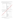pupils and qualitative part of the research was conducted with 34 pupils. Convenience sampling method can be applied when sample units are selected from easily accessible due to the existing limitations of the money, time and workforce (Büyüköztürk, Kılıç Çakmak, Akgün, Karadeniz ve Demirel, 2011).

| Variable                  | Groups                                 | $\mathbf n$    | $\%$               |
|---------------------------|----------------------------------------|----------------|--------------------|
| Gender                    | Female                                 | 168            | 46,3               |
|                           | Male                                   | 195            | 53,7               |
|                           | Total                                  | 363            | 100,0              |
| Class                     | 5th class                              | 120            | 33,1               |
|                           | 6th class                              | 130            | <b>OTA</b><br>35,8 |
|                           | 7th class                              | 5              | 1,4                |
|                           | 8th class                              | 108            | 29,8               |
|                           | Total                                  | 363            | 100,6              |
| Education level of mother | Primary school graduate                | 128            |                    |
|                           | Secondary school graduate              | 143            |                    |
|                           | High school graduate                   | 70             |                    |
|                           | Under graduate                         | 15             | 4,1                |
|                           | Post graduate                          | $\overline{7}$ | 1,9                |
|                           |                                        |                | 100,0              |
| Education level of mother |                                        |                | 19,0               |
|                           | Total 363<br>Primary school graduate 6 |                | 43,8               |
|                           | High school graduate                   | 97             | 26,7               |
|                           | Under graduate                         | 32             | 8,8                |
|                           | Post graduate                          | 6              | 1,7                |
|                           | Total                                  | 363            | 100,0              |

**Table 1.** Demographic informations of students participated in quantitative part

The frequencies and percentages are given according to **participants** gender, class, education level of mother and education level of father in quantitative part of study**.**

| Variable                    | Groups                    | $\mathbf n$ | $\%$ |
|-----------------------------|---------------------------|-------------|------|
| tional conference<br>Gender | Female                    | 22          | 65   |
|                             | Male                      | 12          | 35   |
|                             | Total                     | 34          | 100  |
| Class                       | 5th grade                 | 12          | 35   |
|                             | 6th grade                 | 9           | 27   |
|                             | 7th grade                 | 9           | 27   |
|                             | 8th grade                 | 4           | 11   |
|                             | Total                     | 34          | 100  |
| Education Flevel of mother  | Primary school graduate   | 13          | 38   |
|                             | Secondary school graduate | 12          | 35   |
|                             | High school graduate      | 8           | 24   |
|                             | Under graduate            | 1           | 3    |
|                             | Total                     | 34          | 100  |
| Education level of mother   | Primary school graduate   | 8           | 24   |
|                             | Secondary school graduate | 14          | 41   |
|                             | High school graduate      | 10          | 30   |
|                             | Under graduate            | 2           | 5    |
|                             | Total                     | 34          | 100  |

Table 2. Demographic informations of students participated in qualitative part

The frequencies and percentages are given according to participants' gender, class, education level of mother and education level of father in qualitative part of study**.**

**Table 3.** List of Pupils participated in qualitative part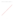| Participant | Gender | $\text{Class}$ | Education level of mother | Education level of father |
|-------------|--------|----------------|---------------------------|---------------------------|

Zuch International Contenents on Melongical Assembly Leadership for Al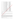| P <sub>1</sub>  | Female | 7th grade | Primary school graduate                     | Secondary school graduate            |
|-----------------|--------|-----------|---------------------------------------------|--------------------------------------|
| P <sub>2</sub>  | Female | 7th grade | High school graduate                        | Under graduate                       |
| P <sub>3</sub>  | Female | 8th grade | Primary school graduate                     | Under graduate                       |
| P4              | Male   | 5th grade | Secondary school graduate                   | Primary school graduate              |
| P <sub>5</sub>  | Female | 6th grade | Secondary school graduate                   | Primary school graduate              |
| P <sub>6</sub>  | Male   | 6th grade | Secondary school graduate                   | Primary school graduate              |
| P7              | Female | 8th grade | High school graduate                        | Primary school graduate              |
| P <sub>8</sub>  | Female | 7th grade | Primary school graduate                     | Under graduate                       |
| P <sub>9</sub>  | Female | 7th grade | Primary school graduate                     | Primary school graduate              |
| P10             | Male   | 7th grade | Primary school graduate                     | Primary school graduate              |
| P11             | Female | 6th grade | Primary school graduate                     | Primary school graduate              |
| P <sub>12</sub> | Female | 7th grade | Secondary school graduate                   | Primary school graduate              |
| P13             | Male   | 6th grade | Secondary school graduate                   | inip for All<br>High school graduate |
| P <sub>14</sub> | Female | 8th grade | High school graduate                        | High school graduate                 |
| P15             | Female | 5th grade | High school graduate                        | High school graduate                 |
| P16             | Male   | 5th grade | High school graduate                        | High school graduate                 |
| P17             | Female | 7th grade | High school graduate                        | High school graduate                 |
| P18             | Female | 6th grade | High school graduate                        | High school graduate                 |
| P <sub>19</sub> | Female | 5th grade | Primary school graduate                     | High school graduate                 |
| P <sub>20</sub> | Male   | 7th grade | Primary school graduate                     | High school graduate                 |
| P <sub>21</sub> | Male   | 6th grade | Under graduate                              | High school graduate                 |
| P <sub>22</sub> | Female | 8th grade | Secondary school graduate                   | Secondary school graduate            |
| P <sub>23</sub> | Female | 5th grade | Secondary school graduate                   | Secondary school graduate            |
| P <sub>24</sub> | Female | 5th grade | Secondary school graduate                   | Secondary school graduate            |
| P <sub>25</sub> | Male   | 5th grade | Secondary school graduate                   | Secondary school graduate            |
| P <sub>26</sub> | Female | 7th grade | Secondary school graduate                   | Secondary school graduate            |
| P27             | Female | 6th grade | Secondary school graduate                   | Secondary school graduate            |
| P <sub>28</sub> | Female | 6th grade | Secondary school graduate                   | Secondary school graduate            |
| P <sub>29</sub> | Male   | 6th grade | High school graduate $\mathcal{Q}_{\Omega}$ | Secondary school graduate            |
| P30             | Female | 5th grade | Primary school graduate                     | Secondary school graduate            |
| P31             | Female | 5th grade | Primary schooleraduate                      | Secondary school graduate            |
| P32             | Male   | 5th grade | Primary school graduate                     | Secondary school graduate            |
| P33             | Male   | 5th grade | Primary school graduate                     | Secondary school graduate            |
| P34             | Male   | 5th grade | Primaty school graduate                     | Secondary school graduate            |

The list of students are given according participants' gender, class, education level of mother and education level of father in qualitative part of study**.**

### **Instruments**

In order to measure the attitudes and opinions of pupils about effective leadership characteristics and school climate, semi-structured interview forms and "Scale Of Effective Leadership Characteristics and School Climate Scale" was used.

Scale Of Effective Leadership Characteristics

Scale OF Effective Leadership Characteristics was developed by Şen (2011). Scale had the structure of 7 dimensions consisting of 40 items. The first factor of the scale named "being excited" included 3 items. The second factor of the scale named "communicating" included 7 items. The third factor of the scale named "having a vision" included 7 items. The fourth factor of the scale named "trust and being trustful" included 7 items. The fifth factor of the scale named "being a model" included 4 items. The sixth factor of the scale named "being democratic and tolerant" included 7 items. The seventh factor of the scale named "being positive" included 5 items. In the analysis, Cronbach alpha reliability coefficients calculated to determine reliability of the tool and it was ,98. The scale is answered as follows:1-never, 2- rarely, 3- sometimes, 4- often, 5-always. School Climate Scale

School Climate Scale was developed by Çalık ve Kurt (2010). Scale had the structure of 7 dimensions consisting of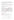40 items. The first factor of the scale named "teachers' supporting behaviors" included 8 items. The second factor of the scale named "achievement-oriented" included 4 items. The third factor of the scale named "safe learning environment and positive peer interaction" included 10 items. In the analysis, Cronbach alpha reliability coefficients calculated to determine reliability of the tool and the internal consistency coefficients ranged from .77 to .85 for dimensions. The scale is answered as follows:1-never, 2- rarely, 3- sometimes, 4- often, 5-always.

Effective Leadership and School Climate Interview Form

In this study, semi-structured interview form prepared by the researchers were used in order to investigate opinions of pupils about effective leadership characteristics and school climate. Demographic characteristics of the participants were asked in the first part and the following questions were asked to the participants in the second<br>of the form:<br>of the form:<br>1. Does your teacher show effective leadership behaviors? What are these behavior of the form:

- 1. Does your teacher show effective leadership behaviors? What are these behaviors?
- 2. What does effective leadership characteristics of your teacher affect? Why?
- 3. What does school climate mean to you?
- 4. What influences your school climate? Why?

### **Analyses**

SPSS 17.00 program was preferred to analyse the data of the study. Independent Samples T Test was used to examine the difference between attitudes of pupils about effective leadership characteristics and school climate according to gender. Because Groups of independent variable are normally distributed and groups of independent variable' variances are homogeneous. Kruskal Wallis Test was used to examine the difference between attitudes of pupils about effective leadership characteristics and school climate according to class, education level of mother and education level of father. Because assumptions of this test such as normal distribution, homogeneity of variance, the sample size couldn't be met. Pearson Product Moment Correlation Coefficient was used to examine the relationship between attitudes of pupils about effective leadership characteristics and school climate. Both variables are continuous and there is a linear relationship between them so this coefficient was preferred and 0.05 level of significance was taken for the interpretation of the results. Data obtained from semi-structured interview form is analyzed by content analysis. Content analysis reveals codes and categories from raw data (Patton, 2002). For validity and reliability, data analysis process is explained in detail; interpretation of the data involved the participants' own direct statements. Another factor important for validity is consistency between related studies<br>(Ratcliff, 1995).<br>3.Findings<br>Data obto: (Ratcliff, 1995).

### **3.Findings**

Data obtained from **peasuring** the attitudes of students about effective leadership and school climate have been analyzed and the **follo**wing results were found:

| <b>Table 4.</b> Independent samples t lest results of pupils attitudes about effective readership and school | climate according to gender |     |          |          |      |     |
|--------------------------------------------------------------------------------------------------------------|-----------------------------|-----|----------|----------|------|-----|
|                                                                                                              | Gender                      | N   | M        | S.d      |      | p   |
| School climate                                                                                               | Female                      | 168 | 80,7143  | 12,78947 | 3.39 | ,00 |
|                                                                                                              | Male                        | 195 | 76,4821  | 10,71291 |      |     |
| <b>Effective Leadership</b>                                                                                  | Female                      | 168 | 170,6250 | 23,38117 | 3,07 | ,00 |
|                                                                                                              | Male                        | 195 | 162,7333 | 25,22682 |      |     |
|                                                                                                              |                             |     |          |          |      |     |

**Table 4.** Independent samples t test results of pupils' attitudes about effective leadership and school

Attitudes of pupils about effective leadership and school climate differ according to gender (p≤.05). Female pupils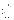have higher effective leadership and school climate points than male pupils.

|            |           | class |            |       |          |
|------------|-----------|-------|------------|-------|----------|
|            | Class     | N     | Mean ranks |       | p        |
| School     | 5th grade | 120   | 203,67     | 27,82 | ,00      |
| climate    | 6th grade | 130   | 143,14     |       |          |
|            | 7th grade | 5     | 197,70     |       |          |
|            | 8th grade | 108   | 203,97     |       |          |
| Effective  | 5th grade | 120   | 208,85     | 14,52 | ,00,     |
| leadership | 6th grade | 130   | 162,56     |       | Ship For |
|            | 7th grade | 5     | 237,40     |       |          |
|            | 8th grade | 108   | 173,00     |       |          |

**Table 5.** Kruskal Wallis test results of pupils' attitudes about effective leadership and school climate according to

Attitudes of pupils about effective leadership and school climate differ according to class (p≤.05). 8th grade pupils have the highest school climate points and 7th grade pupils have the highest effective leadership points.

Table 6. Kruskal Wallis test results of pupils' attitudes about effective leadership and school climate according to education level of mother  $\sqrt{2}$ education level of mother

|            | Education level of mother | N                 | Medioranks | X    | p   |
|------------|---------------------------|-------------------|------------|------|-----|
| School     | Primary school graduate   | 128               | 179,06     | 6,53 | ,16 |
| climate    | Secondary school graduate |                   | 188,69     |      |     |
|            | High school graduate      | 1432              | 181,50     |      |     |
|            | Under graduate            | $\cdot$ (e)<br>15 | 124,37     |      |     |
|            | Post graduate             |                   | 227,64     |      |     |
| Effective  | Primary school graduate   | 128               | 188,26     | 6,52 | ,19 |
| leadership | Secondary school graduale | 143               | 173,11     |      |     |
|            | High school graduate      | 70                | 179,21     |      |     |
|            | Under graduate            | 15                | 186,87     |      |     |
|            | Post graduate             | 7                 | 266,64     |      |     |
|            |                           |                   |            |      |     |

Attitudes of pupils about effective leadership and school climate don't differ according to education level of mother  $(p>0.05)$ .

Table 7. Kruskal Wallis test results of pupils' attitudes about effective leadership and school climate according to education level of father

| ィペン        | Education level of father | N   | Mean ranks | X    | p   |  |
|------------|---------------------------|-----|------------|------|-----|--|
| School     | Primary school graduate   | 69  | 186,88     | 4,42 | .35 |  |
| climate    | Secondary school graduate | 159 | 189,03     |      |     |  |
|            | High school graduate      | 97  | 178,17     |      |     |  |
|            | Under graduate            | 32  | 147,67     |      |     |  |
|            | Post graduate             | 6   | 184,58     |      |     |  |
| Effective  | Primary school graduate   | 69  | 193,38     | 4,12 | ,38 |  |
| leadership | Secondary school graduate | 159 | 183,06     |      |     |  |
|            | High school graduate      | 97  | 175,50     |      |     |  |
|            | Under graduate            | 32  | 161,45     |      |     |  |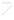| Post graduate |  | 237,83 |
|---------------|--|--------|
|---------------|--|--------|

Attitudes of pupils about effective leadership and school climate don' t differ according to education level of father  $(p>0.05)$ .

**Table 8.** Pearson product moment correlation coefficient results about attitudes of pupils about effective

leadership and school climate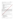|                      |                            | School climate |
|----------------------|----------------------------|----------------|
| Effective leadership | <b>Pearson Correlation</b> |                |

There is not a significant relationship between attitudes of pupils about effective leadership and school climate  $(p>0.05)$ .

Data obtained from semi-structured interview form was analyzed and findings are as follows:

**Table 9***.* Opinions of pupils about effective leadership behaviors of their teachers

| No  | Categories                                                                      |    |
|-----|---------------------------------------------------------------------------------|----|
| 1.  | Being Respectful (P34, P4)                                                      |    |
| 2.  | Being Excited (P32)                                                             |    |
| 3.  | Being Positive (P30, P27, P25, P19, P17, P7, P2, P1)                            |    |
| 4.  | Being Friendly (P30)                                                            |    |
| 5.  | Being Tolerant (P30, P27, P25, P20, P18, P17, P11, P10, P9, P8, P4, P3, P2, P1) | 14 |
| 6.  | Being Calm (P30)                                                                |    |
| 7.  | · Leadership for .<br>Being Sincere (P30)                                       |    |
| 8.  | Having Good communication skilss(P30,P27, P26, P25, P20, P9,P2)                 |    |
| 9.  | Being Fair (P30, P26, P18, P12, P8, P3, P1)                                     |    |
| 10. | Being Democratic (P22, P17, P14, P9, P3, P1)                                    |    |
| 11. | Being Helpful (P21, P11)                                                        |    |
| 12. | tion and ,<br>Being Kind (P17, P10)                                             |    |
| 13. | Being Forgiving (P10)                                                           |    |

All pupils thought that their teachers show effective leadership behaviors. 13 categories were found in content analysis. Most repetitive category is "being tolerant". It was repeated 14 times by participants. The second most frequently repeated category was "being positive" and it was repeated 8 times. The least repetitive categories were "being excited", "being friendly", "being calm and "being sincere" and they were repeated once. Pupils opinions differ according to gender, class, education level of mother and father. Most repetitive category is generally said by pupils who are female and study in 7th grade, whose mother and father graduates from primary school. The statements of participants about metaphors were as follows:

*P26: "Yes, my teacher shows effective leadership behaviors. He talks to us politely and treats everyone equally " equally."* 

*P21: " When I have a problem, she ask me about problem and then she tries to solve it."* 

*P30: " My teacher overy positive, friendly, tolerant and calm. His communication skills are good and he behaves democratic and fair."*

Table <sup>1</sup> Opinions of pupils about elements that effective leadership characteristics of their teachers

|    | affect                                                        |  |
|----|---------------------------------------------------------------|--|
|    | Categories                                                    |  |
|    | Problem solving in the classroom (P1, P8, P12)                |  |
|    | Gaining control in the classroom (P2)                         |  |
| 3. | Behaviors of pupils (P3, P11, P15, P18, P26, P30, P33)        |  |
| 4. | Success (P5, P10, P16, P20, P23, P27, P28, P31)               |  |
| 5. | Understanding course (P6,P9, P10, P19, P25, P32)              |  |
| 6. | Classroom environment (ses) (P7, P9, P13, P14, P18, P20, P22) |  |
| 7. | Process of course (P20)                                       |  |
| 8. | Participation in course (P24)                                 |  |

8 categories were found in content analysis. Most repetitive category is "success". It was repeated 8 times. The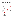second most frequently repeated category was "behaviors of pupils" and "classroom environment" and they were repeated 7 times. The least repetitive categories were "gaining control in the classroom", "process of course" and "participation in course" and they were repeated once. Pupils opinions differ according to gender, class, education level of mother and father. Most repetitive category is generally said by pupils who are female and study in 6th grade, whose mother graduates from primary school and whose father graduates from secondary school. The statements of participants about metaphors were asfollows:

*P2: "If our teacher has effective leadership characteristics, it provides him to take control of the class.*

*" P8: " Without effective leadership characteristics of our teacher, more complaints and problems occur."*

*P23: " If our teacher has effective leadership characteristics, it allows us to be more successful."*

| <b>Table 11.</b> Opinions of pupils about school climate |                                                                  |    |  |
|----------------------------------------------------------|------------------------------------------------------------------|----|--|
| No                                                       | Categories                                                       |    |  |
|                                                          | School atmosphere (P30, P29, P27, P14, P12, P10, P6, P5, P4, P1) | 10 |  |
|                                                          | School cleaning (P28, P27, P26, P24, P20, P5)                    |    |  |
| 3.                                                       | School environment (P22, P14, P1)                                |    |  |
| 4.                                                       | Student behaviors (P21, P19, P17, P12, P8, P3)                   |    |  |
|                                                          | Love of friend $(P18, P11)$                                      |    |  |
| 6.                                                       | Love of teacher (P18, P11)                                       |    |  |
|                                                          | Teacher behaviors (P17, P1)                                      |    |  |
| 8.                                                       | · ducation and<br>Relations in school (P10, P1)                  |    |  |
|                                                          | Success $(P2)$                                                   |    |  |

**FOT AIL** 

8 categories were found in content analysis. Most repetitive category is "school atmosphere". It was repeated 10 times by participants. The second most frequently peated category was "school cleaning" and "student behaviors" and they were repeated 8 times. The least repetitive category was "success" and it was repeated once. Pupils opinions differ according to gender all ass, education level of mother and father. Most repetitive category is generally said by pupils who are female and study in 6th grade, whose mother graduates from secondary school and whose father graduates from primary school. The statements of participants about metaphors were as follows:

*P18:" School climate means love of teacher and friend.* 

*P20: "I think school climate is school cleaning"*

*P6: " School climate is like the effectiveness of the school environment."* 

**Table 12.** Opinions of pupils about elements that affect school climate

|    | Categories                                                                       |    |
|----|----------------------------------------------------------------------------------|----|
|    | Behaviors (P2, P4, P7, P3, P9, P11, P15, P17, P18, P19, P21, P29, P30, P33, P31) | 15 |
|    | Environment of school (P5, P27)                                                  |    |
| 3. | Bad habits (P9, P14, P22)                                                        |    |
| 4. | Parents (P10)                                                                    |    |
| 5. | Fiends (P1, P8, P12)                                                             |    |
| 6. | Family atmosphere (P20)                                                          |    |
| 7. | School cleaning (P26, P28)                                                       |    |
| 8. | Expressions of teachers (P32)                                                    |    |

8 categories were found in content analysis. Most repetitive category is "behaviors". It was repeated 15 times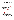by participants. The second most frequently repeated category was "bad habits" and "friends" and they were repeated 3 times. The least repetitive categories were "parents", "family atmosphere" and "expressions of teachers" and they were repeated once. Pupils opinions differ according to gender, class, education level of mother and father. Most repetitive category is generally said by pupils who are female and study in 5th grade. The statements of participants about metaphors were asfollows:

*P8: " Some bully students who are affected by their friends and and so this case will affect the school climate."* 

*P9: "School climate is affected by behaviors and bad habits."*

*P15: " School climate is affected by behaviors."*

### **4.Results, Conclusions and Recommendations**

4. Results, Conclusions and Recommendations<br>According to findings; attitudes of pupils about effective leadership and school climate differ according to gender. Female pupils have higher effective leadership and school climate points than male pupils. Demir (2008) studied the perceptions of students about school climate and teacher performance and found there are differences between perceptions according to gender. Özdemir & et al  $(2010)$  found there are differences between students' perceptions about school climate according to gender. Aydın (2010), Doğan (2011) and Akman (2010) found perceptions of pupils about school climate differ  $\alpha$  ording to gender.

Attitudes of pupils about effective leadership and school climate differ according to class. 8th grade pupils have the highest school climate points and 7th grade pupils have the highest effective leadership points. Demir (2008) studied the perceptions of students about school climate and teacher performance and found there are differences between perceptions according to class. Akman (2010), Aydın (2010) and Arıman (2007) found perceptions of pupils about school climate differ according to class.

Attitudes of pupils about effective leadership and school climate don't differ according to education level of mother. Demir (2008) studied the perceptions of students about school climate and teacher performance and found there are differences between perceptions according to, family income. Doğan (2011) found perceptions of pupils about school climate different according to education level of mother.

Attitudes of pupils about effective leadership and school climate don't differ according to education level of father. Demir (2008) studied the perceptions of students about school climate and teacher performance and found there are differences between perceptions according to family income. Akman (2010), Taşkıran (2008), Dindar (2008) and Ariman (2007) found perceptions of pupils about school climate don't differ according to education level  $\mathbf{e}^{\mathbf{f}}$  father.

The qualitative findings of this study is similar. All pupils thought that their teachers show effective leadership behaviors. 13 categories were found for opinions of pupils about effective leadership behaviors of their teachers th content analysis. Most repetitive category is "being tolerant". It was repeated 14 times by participants. The second most frequently repeated category was "being positive" and it was repeated 8 times. The least repetitive categories were "being excited", "being friendly", "being calm" and "being sincere" and they were repeated once. Pupils opinions differ according to gender, class, education level of mother and father.

Most repetitive category is generally said by pupils who are female and study in 7th grade, whose mother and father graduates from primary school. 9 categories were found for opinions of pupils about school climate in content analysis. Most repetitive category is "school atmosphere". It was repeated 10 times by participants. The second most frequently repeated category was "school cleaning" and "student behaviors" and they were repeated 8 times. The least repetitive category was "success" and it was repeated once. Most repetitive category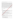is generally said by pupils who are female and study in 6th grade, whose mother graduates from secondary school and whose father graduates from primary school.

There is not a significant relationship between attitudes of pupils about effective leadership and school climate. Öztürk (2008), found that there is a significant relationship between visionary leadership and charismatic leadership with the school climate. Balyer (2013) investigated the effect of leadership of school principals on school climate and found it affects school climate positively. The qualitative findings of this study is similar. 8 categories were found for opinions of pupils about elements that effective leadership characteristics of their teachers affect in content analysis. Most repetitive category is "success". It was repeated 8 times. The second most frequently repeated category was "behaviors of pupils" and "classroom environment" and they were repeated 7 times. The least repetitive categories were "gaining control in the classroom", "process of course" and "participation in course" and they were repeated once. Most repetitive category is generally said by pupils who are female and study in 6th grade, whose mother graduates from primary school and whose father graduates from secondary school. Also 8 categories were found for opinions of pupils about elements that affect school climate in content analysis. Most repetitive category is "behaviors". It was repetied 15 times by participants. The second most frequently repeated category was "bad habits" and "friends" and they were repeated 3 times. The least repetitive categories were "parents", "family atmosphere" and "expressions of teachers" and they were repeated once. Pupils opinions differ according to gender, vlass, education level of mother and father. Most repetitive category is generally said by pupils who are female and study in 5th grade.

This research can be conducted with different population, sample and methods. The findings of this study and their causes can be investigated again.

#### **5.References**

- Akman, Y. (2010). The relationship between secondary school students' perceptions of school climate and violence. *Unpublished master thesis*. Gazi University. Ankara.
- Arıman, F. (2007). Examining the relationship between 7th and 8th grade students' perceptions about bullying and school climate. *Unpublished master thesis*. Yeditepe University. Istanbul. Aydın, F. (2010). Investigating perceptions of *private school teachers and students about school climate.*

*Unpublished master thesis*. Yeditepe University. İstanbul.

Ayık, A. & Şayir, G.(2014). The relation between, instructional leadership behaviours of school principals and organizational climate. *Electronic Journal of Social Sciences, 13*(49), 253-279.

Balay, R. (2003). *Classroom management in 2000.* Ankara: Sandal.

Balcı, A. (201 $\mathbb{R}$ Social science research methods, techniques and principles. Ankara: Pegem Akademi.

Balyer, A.(2013). School principals' influences on instructional quality. *Educational Administration: Theory and Practice, 19*(2), 181-214.

Bekta $\frac{1}{2}$  F. & Nalçacı, A. (2013). The relationship between school climate and student achievement.

*International Eurasia Social Sciences Journal, 4*(13),1-13.

Büyüköztürk, Ş., Kılıç, E., Akgün, Ö., Karadeniz, Ş., & Demirel, F. (2011). *Scientific research methods*. Ankara: Pegem Akademi.

Can, N. (2004). *Classroom management.* Mehmet Şişman ve Selahattin Turan (Ed.). Ankara: Pegem A. Cemaloğlu, N. (2007). An analysis of the school administrators' leadership styles in terms of different variables.

*Journal of Turkish Educational Sciences,* 5(1), 73–112.

Creswell, J. W. (2006). Understanding Mixed Methods Research, (Chapter 1). Available at: [http://www.sagepub.com/upm-data/10981\\_Chapter\\_1.pdf](http://www.sagepub.com/upm-data/10981_Chapter_1.pdf)

Çelik, V. (2002). *Classroom management.* Ankara: Nobel.

Demir, A. (2008). The relationship between teacher performance and school climate in secondary